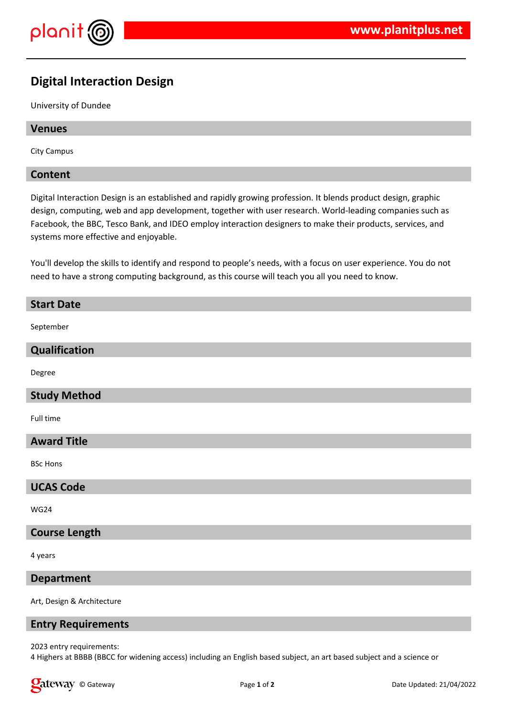

# **Digital Interaction Design**

University of Dundee

# **Venues**

City Campus

#### **Content**

Digital Interaction Design is an established and rapidly growing profession. It blends product design, graphic design, computing, web and app development, together with user research. World-leading companies such as Facebook, the BBC, Tesco Bank, and IDEO employ interaction designers to make their products, services, and systems more effective and enjoyable.

You'll develop the skills to identify and respond to people's needs, with a focus on user experience. You do not need to have a strong computing background, as this course will teach you all you need to know.

#### **Start Date**

September

# **Qualification**

Degree

# **Study Method**

Full time

#### **Award Title**

BSc Hons

#### **UCAS Code**

WG24

#### **Course Length**

4 years

#### **Department**

Art, Design & Architecture

#### **Entry Requirements**

2023 entry requirements:

4 Highers at BBBB (BBCC for widening access) including an English based subject, an art based subject and a science or